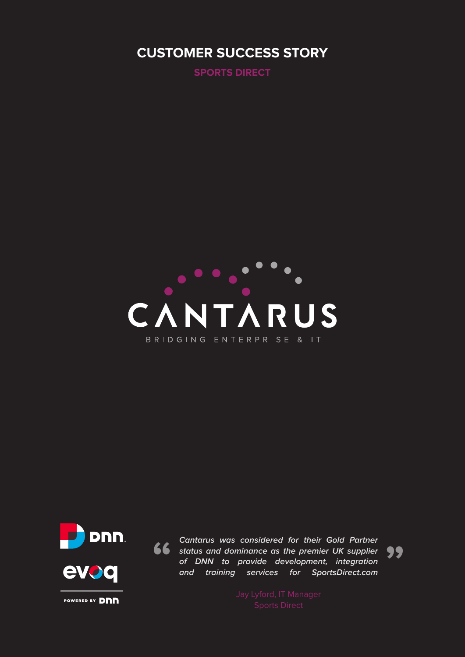### **CUSTOMER SUCCESS STORY**

**SPORTS DIRECT**





**Cantarus was considered for their Gold Partner status and dominance as the premier UK supplier of DNN to provide development, integration and training services for SportsDirect.com EXECUTE 19 CALCE 2013**<br>Cantarus was considered for their Gold Partner<br>status and dominance as the premier UK supplier<br>of DNN to provide development, integration<br>and training services for SportsDirect.com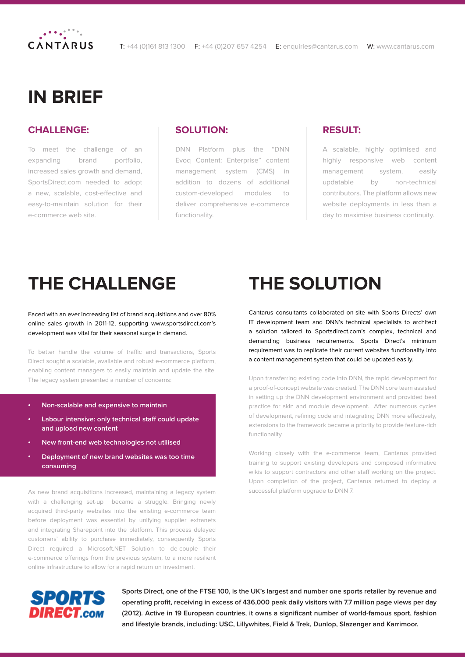

### **IN BRIEF**

#### **CHALLENGE:**

To meet the challenge of an expanding brand portfolio, increased sales growth and demand, SportsDirect.com needed to adopt a new, scalable, cost-effective and easy-to-maintain solution for their e-commerce web site.

#### **SOLUTION:**

DNN Platform plus the "DNN Evoq Content: Enterprise" content management system (CMS) in addition to dozens of additional custom-developed modules to deliver comprehensive e-commerce functionality.

#### **RESULT:**

A scalable, highly optimised and highly responsive web content management system, easily updatable by non-technical contributors. The platform allows new website deployments in less than a day to maximise business continuity.

## **THE CHALLENGE**

Faced with an ever increasing list of brand acquisitions and over 80% online sales growth in 2011-12, supporting www.sportsdirect.com's development was vital for their seasonal surge in demand.

To better handle the volume of traffic and transactions, Sports Direct sought a scalable, available and robust e-commerce platform, enabling content managers to easily maintain and update the site. The legacy system presented a number of concerns:

- **Non-scalable and expensive to maintain**
- **Labour intensive: only technical staff could update and upload new content**
- **New front-end web technologies not utilised**
- **Deployment of new brand websites was too time consuming**

As new brand acquisitions increased, maintaining a legacy system with a challenging set-up became a struggle. Bringing newly acquired third-party websites into the existing e-commerce team before deployment was essential by unifying supplier extranets and integrating Sharepoint into the platform. This process delayed customers' ability to purchase immediately, consequently Sports Direct required a Microsoft.NET Solution to de-couple their e-commerce offerings from the previous system, to a more resilient online infrastructure to allow for a rapid return on investment.

# **THE SOLUTION**

Cantarus consultants collaborated on-site with Sports Directs' own IT development team and DNN's technical specialists to architect a solution tailored to Sportsdirect.com's complex, technical and demanding business requirements. Sports Direct's minimum requirement was to replicate their current websites functionality into a content management system that could be updated easily.

Upon transferring existing code into DNN, the rapid development for a proof-of-concept website was created. The DNN core team assisted in setting up the DNN development environment and provided best practice for skin and module development. After numerous cycles of development, refining code and integrating DNN more effectively, extensions to the framework became a priority to provide feature-rich functionality.

Working closely with the e-commerce team, Cantarus provided training to support existing developers and composed informative wikis to support contractors and other staff working on the project. Upon completion of the project, Cantarus returned to deploy a successful platform upgrade to DNN 7.



**Sports Direct, one of the FTSE 100, is the UK's largest and number one sports retailer by revenue and operating profit, receiving in excess of 436,000 peak daily visitors with 7.7 million page views per day (2012). Active in 19 European countries, it owns a significant number of world-famous sport, fashion and lifestyle brands, including: USC, Lillywhites, Field & Trek, Dunlop, Slazenger and Karrimoor.**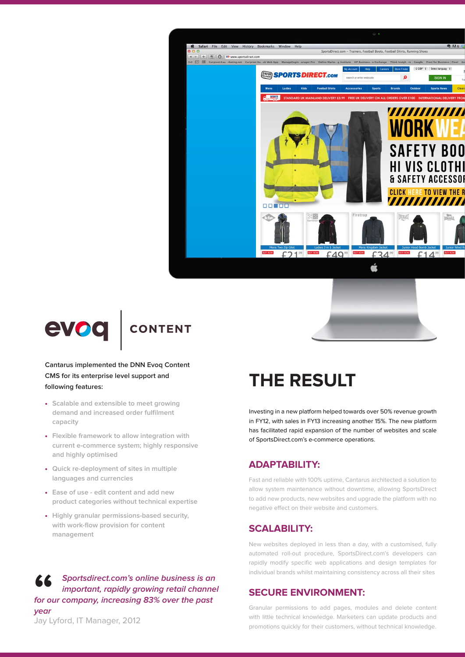



#### **Cantarus implemented the DNN Evoq Content CMS for its enterprise level support and following features:**

- **Scalable and extensible to meet growing demand and increased order fulfilment capacity**
- **Flexible framework to allow integration with current e-commerce system; highly responsive and highly optimised**
- **Quick re-deployment of sites in multiple languages and currencies**
- **Ease of use edit content and add new product categories without technical expertise**
- **Highly granular permissions-based security, with work-flow provision for content management**

#### **Sportsdirect.com's online business is an important, rapidly growing retail channel for our company, increasing 83% over the past year 66**<br>for ou

## **THE RESULT**

Investing in a new platform helped towards over 50% revenue growth in FY12, with sales in FY13 increasing another 15%. The new platform has facilitated rapid expansion of the number of websites and scale of SportsDirect.com's e-commerce operations.

#### **ADAPTABILITY:**

Fast and reliable with 100% uptime, Cantarus architected a solution to allow system maintenance without downtime, allowing SportsDirect to add new products, new websites and upgrade the platform with no negative effect on their website and customers.

#### **SCALABILITY:**

New websites deployed in less than a day, with a customised, fully automated roll-out procedure, SportsDirect.com's developers can rapidly modify specific web applications and design templates for individual brands whilst maintaining consistency across all their sites

#### **SECURE ENVIRONMENT:**

Granular permissions to add pages, modules and delete content with little technical knowledge. Marketers can update products and promotions quickly for their customers, without technical knowledge.

Jay Lyford, IT Manager, 2012